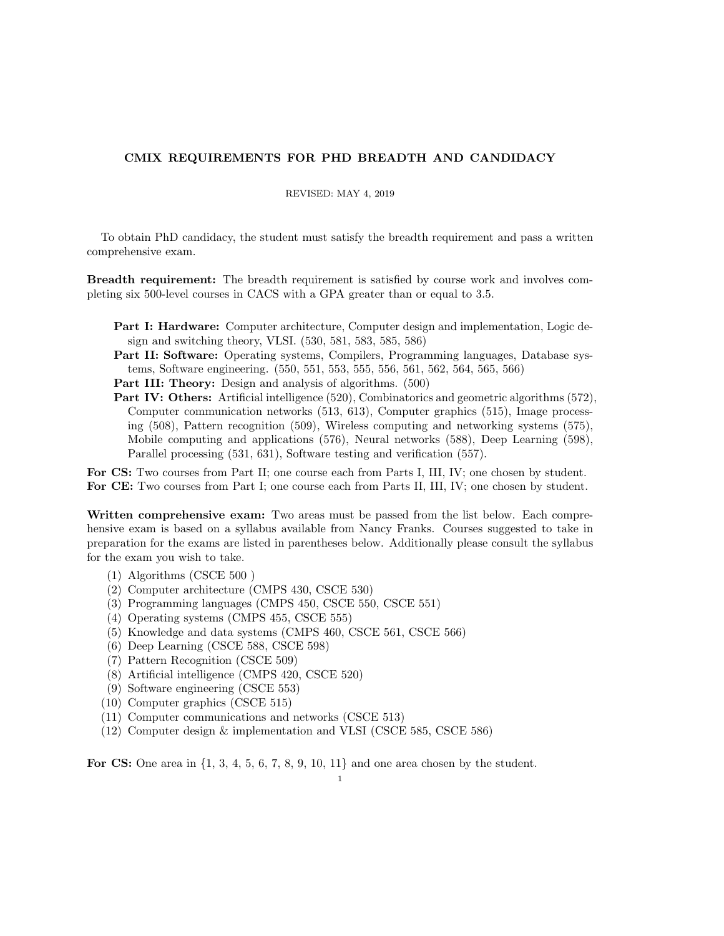## CMIX REQUIREMENTS FOR PHD BREADTH AND CANDIDACY

## REVISED: MAY 4, 2019

To obtain PhD candidacy, the student must satisfy the breadth requirement and pass a written comprehensive exam.

Breadth requirement: The breadth requirement is satisfied by course work and involves completing six 500-level courses in CACS with a GPA greater than or equal to 3.5.

- Part I: Hardware: Computer architecture, Computer design and implementation, Logic design and switching theory, VLSI. (530, 581, 583, 585, 586)
- Part II: Software: Operating systems, Compilers, Programming languages, Database systems, Software engineering. (550, 551, 553, 555, 556, 561, 562, 564, 565, 566)

Part III: Theory: Design and analysis of algorithms. (500)

Part IV: Others: Artificial intelligence (520), Combinatorics and geometric algorithms (572), Computer communication networks (513, 613), Computer graphics (515), Image processing (508), Pattern recognition (509), Wireless computing and networking systems (575), Mobile computing and applications (576), Neural networks (588), Deep Learning (598), Parallel processing (531, 631), Software testing and verification (557).

For CS: Two courses from Part II; one course each from Parts I, III, IV; one chosen by student. For CE: Two courses from Part I; one course each from Parts II, III, IV; one chosen by student.

Written comprehensive exam: Two areas must be passed from the list below. Each comprehensive exam is based on a syllabus available from Nancy Franks. Courses suggested to take in preparation for the exams are listed in parentheses below. Additionally please consult the syllabus for the exam you wish to take.

- (1) Algorithms (CSCE 500 )
- (2) Computer architecture (CMPS 430, CSCE 530)
- (3) Programming languages (CMPS 450, CSCE 550, CSCE 551)
- (4) Operating systems (CMPS 455, CSCE 555)
- (5) Knowledge and data systems (CMPS 460, CSCE 561, CSCE 566)
- (6) Deep Learning (CSCE 588, CSCE 598)
- (7) Pattern Recognition (CSCE 509)
- (8) Artificial intelligence (CMPS 420, CSCE 520)
- (9) Software engineering (CSCE 553)
- (10) Computer graphics (CSCE 515)
- (11) Computer communications and networks (CSCE 513)
- (12) Computer design & implementation and VLSI (CSCE 585, CSCE 586)

For CS: One area in  $\{1, 3, 4, 5, 6, 7, 8, 9, 10, 11\}$  and one area chosen by the student.